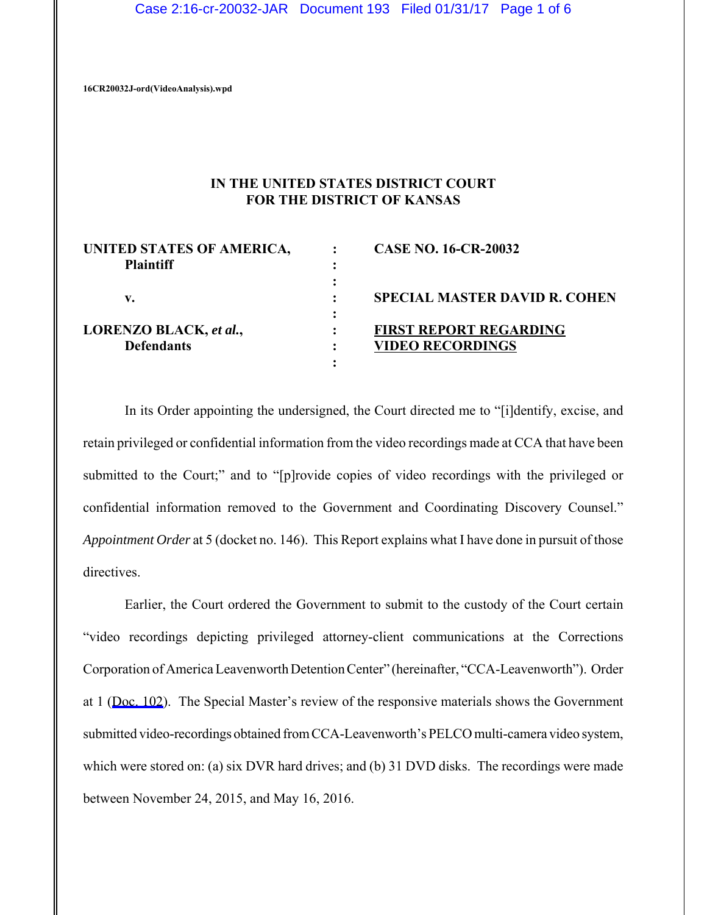Case 2:16-cr-20032-JAR Document 193 Filed 01/31/17 Page 1 of 6

**16CR20032J-ord(VideoAnalysis).wpd**

## **IN THE UNITED STATES DISTRICT COURT FOR THE DISTRICT OF KANSAS**

| UNITED STATES OF AMERICA,<br><b>Plaintiff</b> | <b>CASE NO. 16-CR-20032</b>                              |
|-----------------------------------------------|----------------------------------------------------------|
| v.                                            | <b>SPECIAL MASTER DAVID R. COHEN</b>                     |
| LORENZO BLACK, et al.,<br><b>Defendants</b>   | <b>FIRST REPORT REGARDING</b><br><b>VIDEO RECORDINGS</b> |

In its Order appointing the undersigned, the Court directed me to "[i]dentify, excise, and retain privileged or confidential information from the video recordings made at CCA that have been submitted to the Court;" and to "[p]rovide copies of video recordings with the privileged or confidential information removed to the Government and Coordinating Discovery Counsel." *Appointment Order* at 5 (docket no. 146). This Report explains what I have done in pursuit of those directives.

Earlier, the Court ordered the Government to submit to the custody of the Court certain "video recordings depicting privileged attorney-client communications at the Corrections Corporation of America Leavenworth Detention Center" (hereinafter, "CCA-Leavenworth"). Order at 1 ([Doc. 102](https://jenie.ao.dcn/ksd-ecf/d/cmecfservices/rest/file/finddoc?caseYear=2016&caseNum=20032&caseType=cr&caseOffice=2&docNum=102)). The Special Master's review of the responsive materials shows the Government submitted video-recordings obtained from CCA-Leavenworth's PELCO multi-camera video system, which were stored on: (a) six DVR hard drives; and (b) 31 DVD disks. The recordings were made between November 24, 2015, and May 16, 2016.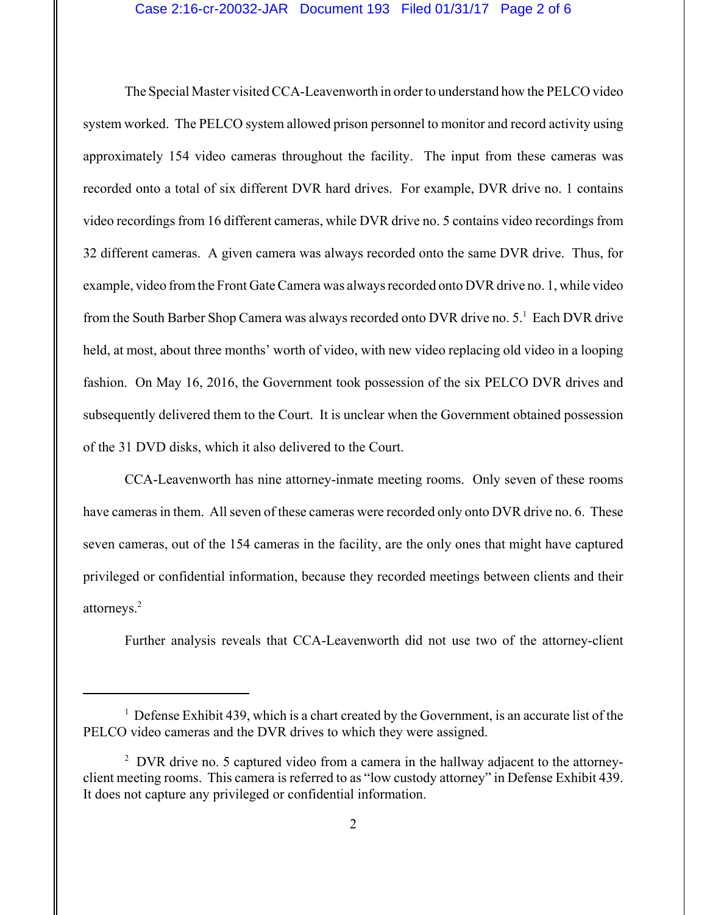### Case 2:16-cr-20032-JAR Document 193 Filed 01/31/17 Page 2 of 6

The Special Master visited CCA-Leavenworth in order to understand how the PELCO video system worked. The PELCO system allowed prison personnel to monitor and record activity using approximately 154 video cameras throughout the facility. The input from these cameras was recorded onto a total of six different DVR hard drives. For example, DVR drive no. 1 contains video recordings from 16 different cameras, while DVR drive no. 5 contains video recordings from 32 different cameras. A given camera was always recorded onto the same DVR drive. Thus, for example, video from the Front Gate Camera was always recorded onto DVR drive no. 1, while video from the South Barber Shop Camera was always recorded onto DVR drive no. 5.<sup>1</sup> Each DVR drive held, at most, about three months' worth of video, with new video replacing old video in a looping fashion. On May 16, 2016, the Government took possession of the six PELCO DVR drives and subsequently delivered them to the Court. It is unclear when the Government obtained possession of the 31 DVD disks, which it also delivered to the Court.

CCA-Leavenworth has nine attorney-inmate meeting rooms. Only seven of these rooms have cameras in them. All seven of these cameras were recorded only onto DVR drive no. 6. These seven cameras, out of the 154 cameras in the facility, are the only ones that might have captured privileged or confidential information, because they recorded meetings between clients and their attorneys.<sup>2</sup>

Further analysis reveals that CCA-Leavenworth did not use two of the attorney-client

<sup>&</sup>lt;sup>1</sup> Defense Exhibit 439, which is a chart created by the Government, is an accurate list of the PELCO video cameras and the DVR drives to which they were assigned.

<sup>&</sup>lt;sup>2</sup> DVR drive no. 5 captured video from a camera in the hallway adjacent to the attorneyclient meeting rooms. This camera is referred to as "low custody attorney" in Defense Exhibit 439. It does not capture any privileged or confidential information.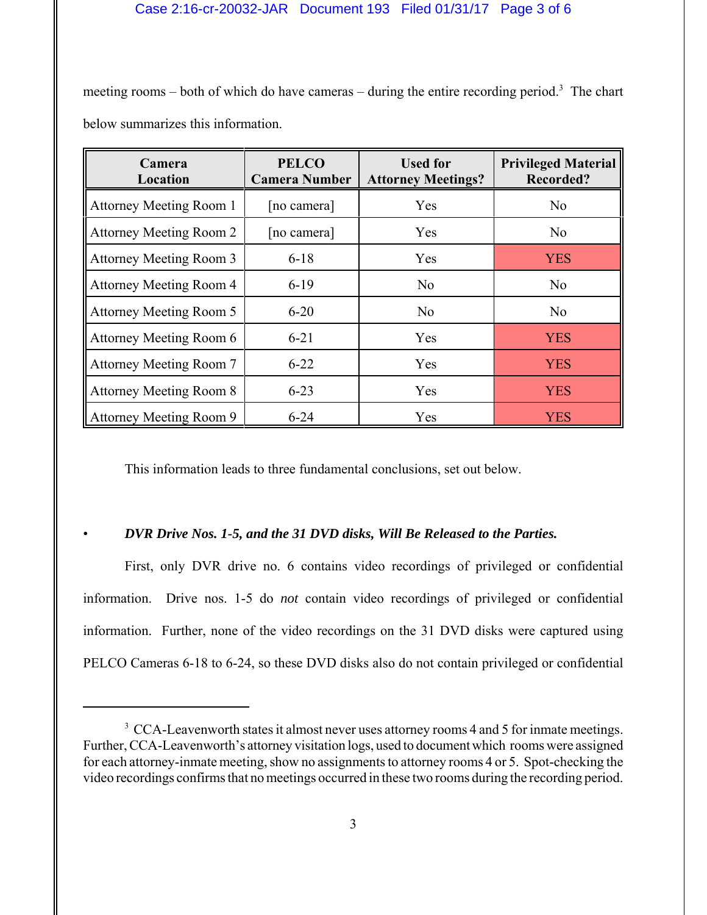meeting rooms – both of which do have cameras – during the entire recording period.<sup>3</sup> The chart below summarizes this information.

| Camera<br>Location             | <b>PELCO</b><br><b>Camera Number</b> | <b>Used for</b><br><b>Attorney Meetings?</b> | <b>Privileged Material</b><br><b>Recorded?</b> |
|--------------------------------|--------------------------------------|----------------------------------------------|------------------------------------------------|
| Attorney Meeting Room 1        | [no camera]                          | Yes                                          | N <sub>o</sub>                                 |
| <b>Attorney Meeting Room 2</b> | [no camera]                          | Yes                                          | N <sub>o</sub>                                 |
| <b>Attorney Meeting Room 3</b> | $6 - 18$                             | Yes                                          | <b>YES</b>                                     |
| <b>Attorney Meeting Room 4</b> | $6-19$                               | N <sub>o</sub>                               | No                                             |
| <b>Attorney Meeting Room 5</b> | $6 - 20$                             | No                                           | No                                             |
| Attorney Meeting Room 6        | $6 - 21$                             | Yes                                          | <b>YES</b>                                     |
| <b>Attorney Meeting Room 7</b> | $6 - 22$                             | Yes                                          | <b>YES</b>                                     |
| <b>Attorney Meeting Room 8</b> | $6 - 23$                             | Yes                                          | <b>YES</b>                                     |
| <b>Attorney Meeting Room 9</b> | $6 - 24$                             | Yes                                          | <b>YES</b>                                     |

This information leads to three fundamental conclusions, set out below.

# • *DVR Drive Nos. 1-5, and the 31 DVD disks, Will Be Released to the Parties.*

First, only DVR drive no. 6 contains video recordings of privileged or confidential information. Drive nos. 1-5 do *not* contain video recordings of privileged or confidential information. Further, none of the video recordings on the 31 DVD disks were captured using PELCO Cameras 6-18 to 6-24, so these DVD disks also do not contain privileged or confidential

 $3$  CCA-Leavenworth states it almost never uses attorney rooms 4 and 5 for inmate meetings. Further, CCA-Leavenworth's attorney visitation logs, used to document which rooms were assigned for each attorney-inmate meeting, show no assignments to attorney rooms 4 or 5. Spot-checking the video recordings confirms that no meetings occurred in these two rooms during the recording period.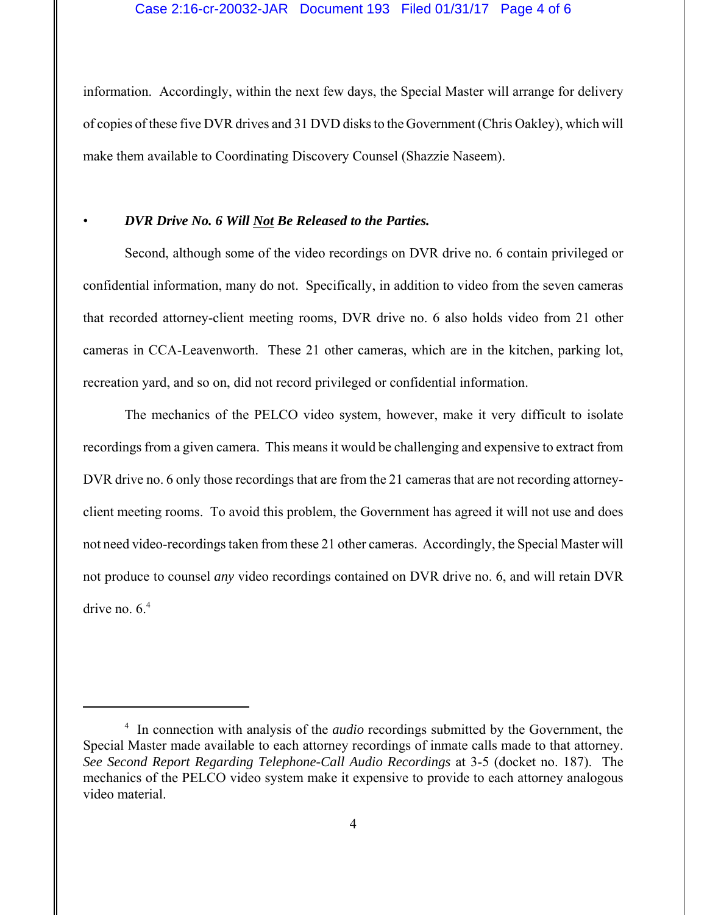### Case 2:16-cr-20032-JAR Document 193 Filed 01/31/17 Page 4 of 6

information. Accordingly, within the next few days, the Special Master will arrange for delivery of copies of these five DVR drives and 31 DVD disks to the Government (Chris Oakley), which will make them available to Coordinating Discovery Counsel (Shazzie Naseem).

## • *DVR Drive No. 6 Will Not Be Released to the Parties.*

Second, although some of the video recordings on DVR drive no. 6 contain privileged or confidential information, many do not. Specifically, in addition to video from the seven cameras that recorded attorney-client meeting rooms, DVR drive no. 6 also holds video from 21 other cameras in CCA-Leavenworth. These 21 other cameras, which are in the kitchen, parking lot, recreation yard, and so on, did not record privileged or confidential information.

The mechanics of the PELCO video system, however, make it very difficult to isolate recordings from a given camera. This means it would be challenging and expensive to extract from DVR drive no. 6 only those recordings that are from the 21 cameras that are not recording attorneyclient meeting rooms. To avoid this problem, the Government has agreed it will not use and does not need video-recordings taken from these 21 other cameras. Accordingly, the Special Master will not produce to counsel *any* video recordings contained on DVR drive no. 6, and will retain DVR drive no.  $6<sup>4</sup>$ 

<sup>4</sup> In connection with analysis of the *audio* recordings submitted by the Government, the Special Master made available to each attorney recordings of inmate calls made to that attorney. *See Second Report Regarding Telephone-Call Audio Recordings* at 3-5 (docket no. 187). The mechanics of the PELCO video system make it expensive to provide to each attorney analogous video material.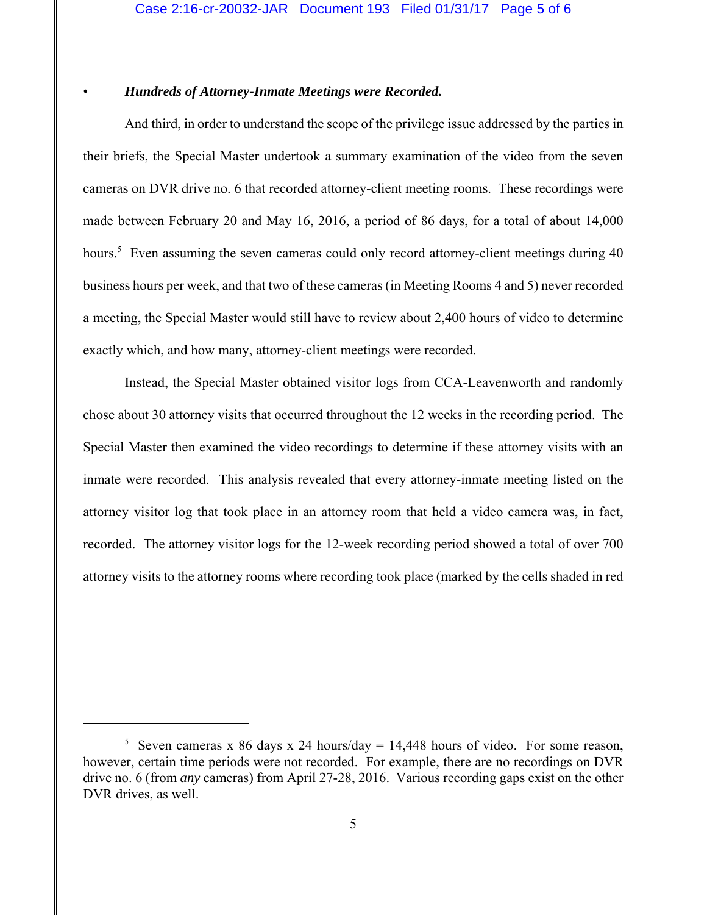## • *Hundreds of Attorney-Inmate Meetings were Recorded.*

And third, in order to understand the scope of the privilege issue addressed by the parties in their briefs, the Special Master undertook a summary examination of the video from the seven cameras on DVR drive no. 6 that recorded attorney-client meeting rooms. These recordings were made between February 20 and May 16, 2016, a period of 86 days, for a total of about 14,000 hours.<sup>5</sup> Even assuming the seven cameras could only record attorney-client meetings during 40 business hours per week, and that two of these cameras (in Meeting Rooms 4 and 5) never recorded a meeting, the Special Master would still have to review about 2,400 hours of video to determine exactly which, and how many, attorney-client meetings were recorded.

Instead, the Special Master obtained visitor logs from CCA-Leavenworth and randomly chose about 30 attorney visits that occurred throughout the 12 weeks in the recording period. The Special Master then examined the video recordings to determine if these attorney visits with an inmate were recorded. This analysis revealed that every attorney-inmate meeting listed on the attorney visitor log that took place in an attorney room that held a video camera was, in fact, recorded. The attorney visitor logs for the 12-week recording period showed a total of over 700 attorney visits to the attorney rooms where recording took place (marked by the cells shaded in red

<sup>&</sup>lt;sup>5</sup> Seven cameras x 86 days x 24 hours/day = 14,448 hours of video. For some reason, however, certain time periods were not recorded. For example, there are no recordings on DVR drive no. 6 (from *any* cameras) from April 27-28, 2016. Various recording gaps exist on the other DVR drives, as well.